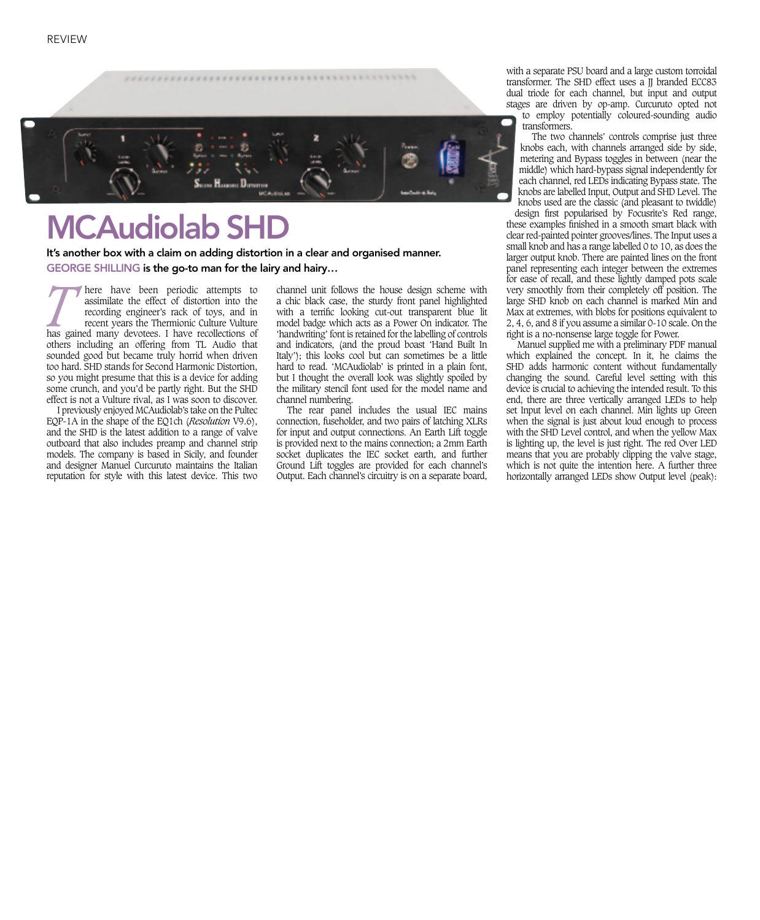

## MCAudiolab SHD

It's another box with a claim on adding distortion in a clear and organised manner. GEORGE SHILLING is the go-to man for the lairy and hairy…

**These community** here have been periodic attempts to assimilate the effect of distortion into the recording engineer's rack of toys, and in recent years the Thermionic Culture Vulture has gained many devotees. I have reco assimilate the effect of distortion into the recording engineer's rack of toys, and in recent years the Thermionic Culture Vulture others including an offering from TL Audio that sounded good but became truly horrid when driven too hard. SHD stands for Second Harmonic Distortion, so you might presume that this is a device for adding some crunch, and you'd be partly right. But the SHD effect is not a Vulture rival, as I was soon to discover.

and designer Manuel Curcuruto maintains the Italian I previously enjoyed MCAudiolab's take on the Pultec EQP-1A in the shape of the EQ1ch (*Resolution* V9.6), and the SHD is the latest addition to a range of valve outboard that also includes preamp and channel strip models. The company is based in Sicily, and founder reputation for style with this latest device. This two

channel unit follows the house design scheme with a chic black case, the sturdy front panel highlighted with a terrific looking cut-out transparent blue lit model badge which acts as a Power On indicator. The 'handwriting' font is retained for the labelling of controls and indicators, (and the proud boast 'Hand Built In Italy'); this looks cool but can sometimes be a little hard to read. 'MCAudiolab' is printed in a plain font, but I thought the overall look was slightly spoiled by the military stencil font used for the model name and channel numbering.

The rear panel includes the usual IEC mains connection, fuseholder, and two pairs of latching XLRs for input and output connections. An Earth Lift toggle is provided next to the mains connection; a 2mm Earth socket duplicates the IEC socket earth, and further Ground Lift toggles are provided for each channel's Output. Each channel's circuitry is on a separate board,

with a separate PSU board and a large custom torroidal transformer. The SHD effect uses a JJ branded ECC83 dual triode for each channel, but input and output stages are driven by op-amp. Curcuruto opted not to employ potentially coloured-sounding audio transformers.

The two channels' controls comprise just three knobs each, with channels arranged side by side, metering and Bypass toggles in between (near the middle) which hard-bypass signal independently for each channel, red LEDs indicating Bypass state. The knobs are labelled Input, Output and SHD Level. The knobs used are the classic (and pleasant to twiddle)

design first popularised by Focusrite's Red range, these examples finished in a smooth smart black with clear red-painted pointer grooves/lines. The Input uses a small knob and has a range labelled 0 to 10, as does the larger output knob. There are painted lines on the front panel representing each integer between the extremes for ease of recall, and these lightly damped pots scale very smoothly from their completely off position. The large SHD knob on each channel is marked Min and Max at extremes, with blobs for positions equivalent to 2, 4, 6, and 8 if you assume a similar 0-10 scale. On the right is a no-nonsense large toggle for Power.

Manuel supplied me with a preliminary PDF manual which explained the concept. In it, he claims the SHD adds harmonic content without fundamentally changing the sound. Careful level setting with this device is crucial to achieving the intended result. To this end, there are three vertically arranged LEDs to help set Input level on each channel. Min lights up Green when the signal is just about loud enough to process with the SHD Level control, and when the yellow Max is lighting up, the level is just right. The red Over LED means that you are probably clipping the valve stage, which is not quite the intention here. A further three horizontally arranged LEDs show Output level (peak):